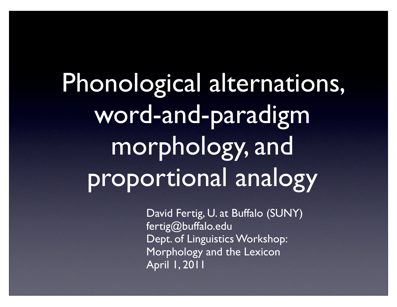Phonological alternations, word-and-paradigm morphology, and proportional analogy

> David Fertig, U. at Buffalo (SUNY) fertig@buffalo.edu Dept. of Linguistics Workshop: Morphology and the Lexicon April 1, 2011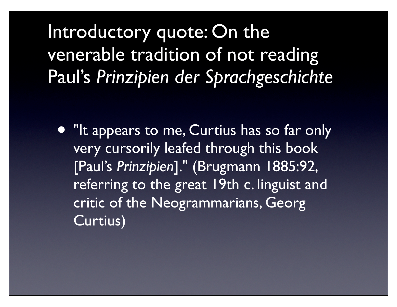Introductory quote: On the venerable tradition of not reading Paul's *Prinzipien der Sprachgeschichte*

• "It appears to me, Curtius has so far only very cursorily leafed through this book [Paul's *Prinzipien*]." (Brugmann 1885:92, referring to the great 19th c. linguist and critic of the Neogrammarians, Georg Curtius)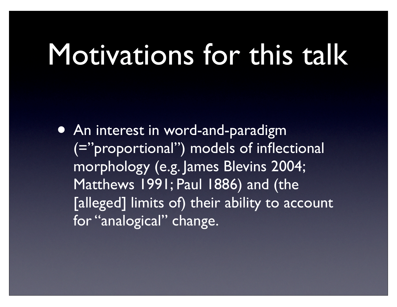#### Motivations for this talk

• An interest in word-and-paradigm (="proportional") models of inflectional morphology (e.g. James Blevins 2004; Matthews 1991; Paul 1886) and (the [alleged] limits of) their ability to account for "analogical" change.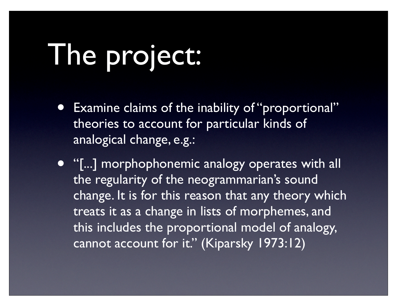## The project:

Examine claims of the inability of "proportional" theories to account for particular kinds of analogical change, e.g.:

• "[...] morphophonemic analogy operates with all the regularity of the neogrammarian's sound change. It is for this reason that any theory which treats it as a change in lists of morphemes, and this includes the proportional model of analogy, cannot account for it." (Kiparsky 1973:12)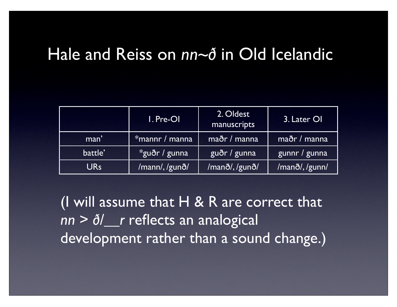#### Hale and Reiss on *nn~ð* in Old Icelandic

|            | I. Pre-OI      | 2. Oldest<br>manuscripts | 3. Later OI   |
|------------|----------------|--------------------------|---------------|
| man'       | *mannr / manna | maðr / manna             | maðr / manna  |
| battle'    | *guðr / gunna  | guðr / gunna             | gunnr / gunna |
| <b>URs</b> | /mann/, /gunð/ | /manð/, /gunð/           | /manð/,/gunn/ |

(I will assume that  $H \& R$  are correct that *nn* > *ð/\_\_r* reflects an analogical development rather than a sound change.)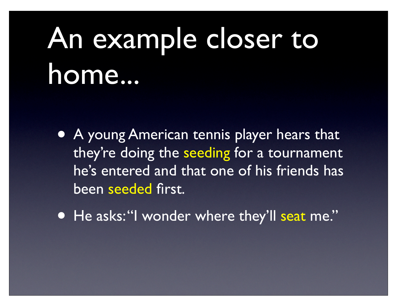## An example closer to home...

- A young American tennis player hears that they're doing the seeding for a tournament he's entered and that one of his friends has been seeded first.
- He asks: "I wonder where they'll seat me."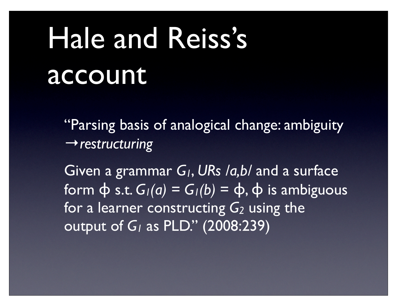## Hale and Reiss's account

"Parsing basis of analogical change: ambiguity →*restructuring*

Given a grammar *G1*, *URs /a,b/* and a surface form  $\phi$  s.t.  $G_1(a) = G_1(b) = \phi$ ,  $\phi$  is ambiguous for a learner constructing *G2* using the output of *G1* as PLD." (2008:239)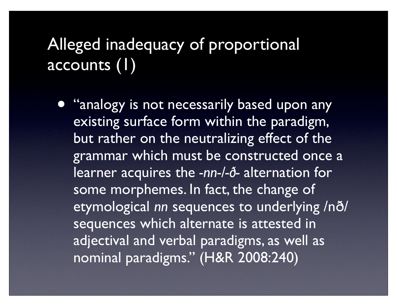#### Alleged inadequacy of proportional accounts (1)

**• "analogy is not necessarily based upon any** existing surface form within the paradigm, but rather on the neutralizing effect of the grammar which must be constructed once a learner acquires the *-nn-/-ð-* alternation for some morphemes. In fact, the change of etymological *nn* sequences to underlying /nð/ sequences which alternate is attested in adjectival and verbal paradigms, as well as nominal paradigms." (H&R 2008:240)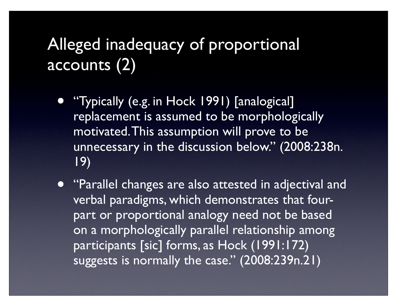#### Alleged inadequacy of proportional accounts (2)

- "Typically (e.g. in Hock 1991) [analogical] replacement is assumed to be morphologically motivated. This assumption will prove to be unnecessary in the discussion below." (2008:238n. 19)
- "Parallel changes are also attested in adjectival and verbal paradigms, which demonstrates that fourpart or proportional analogy need not be based on a morphologically parallel relationship among participants [sic] forms, as Hock (1991:172) suggests is normally the case." (2008:239n.21)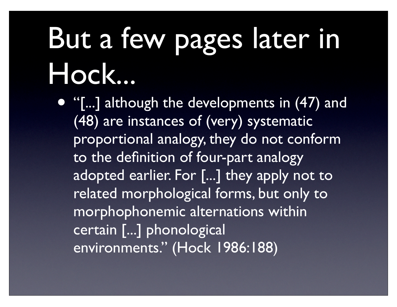## But a few pages later in Hock...

• "[...] although the developments in (47) and (48) are instances of (very) systematic proportional analogy, they do not conform to the definition of four-part analogy adopted earlier. For [...] they apply not to related morphological forms, but only to morphophonemic alternations within certain [...] phonological environments." (Hock 1986:188)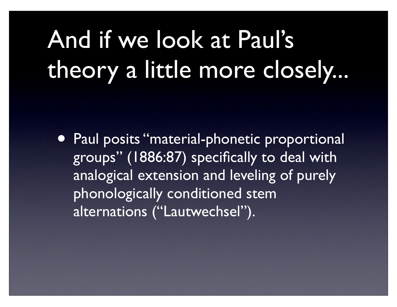#### And if we look at Paul's theory a little more closely...

• Paul posits "material-phonetic proportional groups" (1886:87) specifically to deal with analogical extension and leveling of purely phonologically conditioned stem alternations ("Lautwechsel").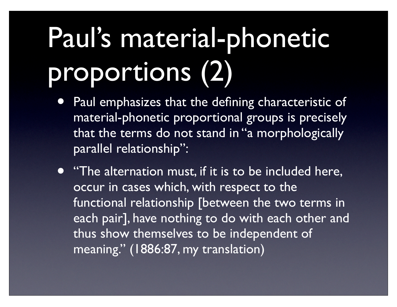## Paul's material-phonetic proportions (2)

- Paul emphasizes that the defining characteristic of material-phonetic proportional groups is precisely that the terms do not stand in "a morphologically parallel relationship":
- "The alternation must, if it is to be included here, occur in cases which, with respect to the functional relationship [between the two terms in each pair], have nothing to do with each other and thus show themselves to be independent of meaning." (1886:87, my translation)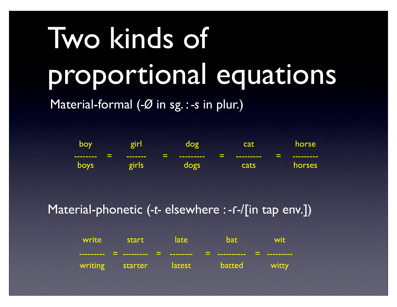# Two kinds of proportional equations

Material-formal (*-Ø* in sg. : *-s* in plur.)

| <b>boy</b>                                          | <b>oir</b><br>o  |                                    | ∩σ<br>◘                   | cat               | horse <sup>1</sup>                              |
|-----------------------------------------------------|------------------|------------------------------------|---------------------------|-------------------|-------------------------------------------------|
| $\overline{\phantom{a}}$<br>--------<br><b>boys</b> | -------<br>girls | $\overline{\phantom{0}}$<br>$\sim$ | ---------<br><u> 10ac</u> | ---------<br>cats | $\overline{\phantom{a}}$<br>---------<br>horses |

Material-phonetic (*-t-* elsewhere : *-*ɾ*-*/[in tap env.])

| write start late | <u>bat wit</u>                      |  |
|------------------|-------------------------------------|--|
|                  |                                     |  |
|                  | writing starter latest batted witty |  |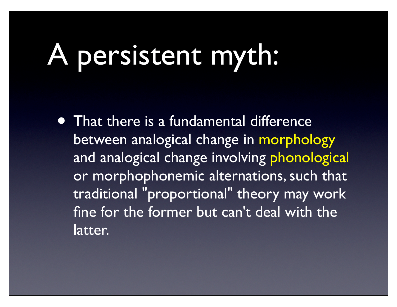#### A persistent myth:

• That there is a fundamental difference between analogical change in morphology and analogical change involving phonological or morphophonemic alternations, such that traditional "proportional" theory may work fine for the former but can't deal with the latter.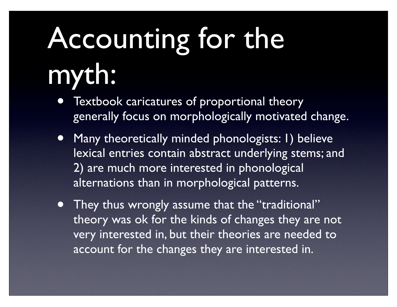# Accounting for the myth:

- Textbook caricatures of proportional theory generally focus on morphologically motivated change.
- Many theoretically minded phonologists: 1) believe lexical entries contain abstract underlying stems; and 2) are much more interested in phonological alternations than in morphological patterns.
- They thus wrongly assume that the "traditional" theory was ok for the kinds of changes they are not very interested in, but their theories are needed to account for the changes they are interested in.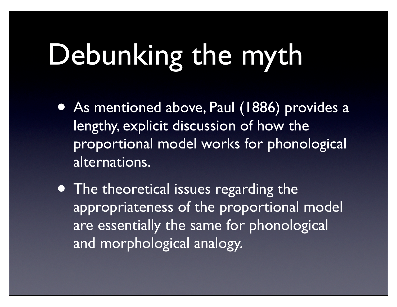## Debunking the myth

- As mentioned above, Paul (1886) provides a lengthy, explicit discussion of how the proportional model works for phonological alternations.
- The theoretical issues regarding the appropriateness of the proportional model are essentially the same for phonological and morphological analogy.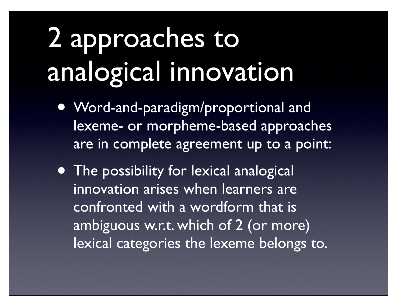### 2 approaches to analogical innovation

- Word-and-paradigm/proportional and lexeme- or morpheme-based approaches are in complete agreement up to a point:
- The possibility for lexical analogical innovation arises when learners are confronted with a wordform that is ambiguous w.r.t. which of 2 (or more) lexical categories the lexeme belongs to.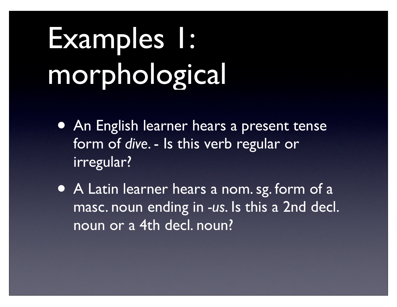## Examples 1: morphological

- An English learner hears a present tense form of *dive*. - Is this verb regular or irregular?
- A Latin learner hears a nom. sg. form of a masc. noun ending in *-us*. Is this a 2nd decl. noun or a 4th decl. noun?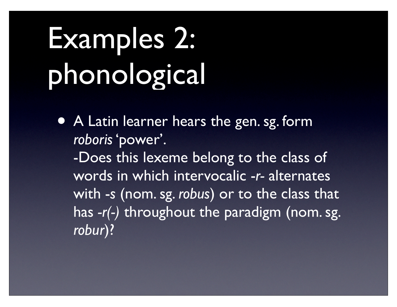## Examples 2: phonological

• A Latin learner hears the gen. sg. form *roboris* 'power'. -Does this lexeme belong to the class of words in which intervocalic -*r-* alternates with -*s* (nom. sg. *robus*) or to the class that has *-r(-)* throughout the paradigm (nom. sg. *robur*)?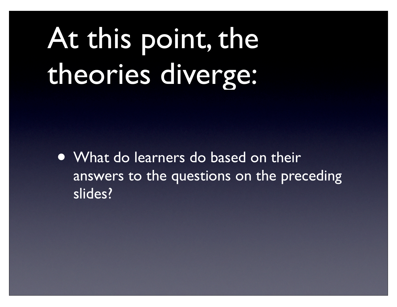## At this point, the theories diverge:

• What do learners do based on their answers to the questions on the preceding slides?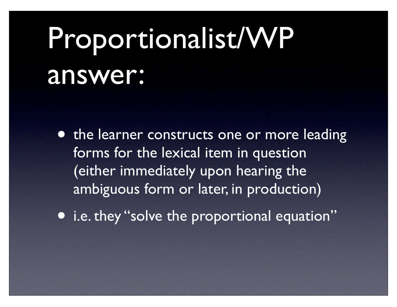### Proportionalist/WP answer:

- the learner constructs one or more leading forms for the lexical item in question (either immediately upon hearing the ambiguous form or later, in production)
- i.e. they "solve the proportional equation"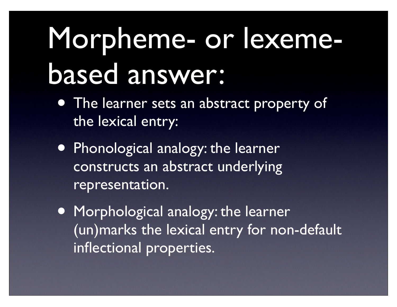## Morpheme- or lexemebased answer:

- The learner sets an abstract property of the lexical entry:
- Phonological analogy: the learner constructs an abstract underlying representation.
- Morphological analogy: the learner (un)marks the lexical entry for non-default inflectional properties.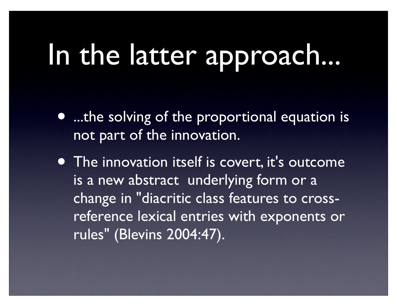#### In the latter approach...

- ...the solving of the proportional equation is not part of the innovation.
- The innovation itself is covert, it's outcome is a new abstract underlying form or a change in "diacritic class features to crossreference lexical entries with exponents or rules" (Blevins 2004:47).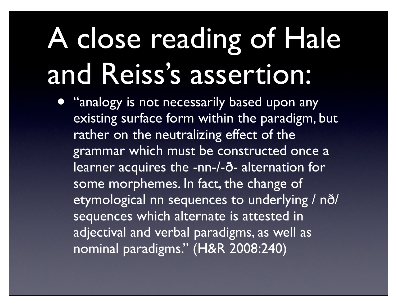## A close reading of Hale and Reiss's assertion:

• "analogy is not necessarily based upon any existing surface form within the paradigm, but rather on the neutralizing effect of the grammar which must be constructed once a learner acquires the -nn-/-ð- alternation for some morphemes. In fact, the change of etymological nn sequences to underlying / nð/ sequences which alternate is attested in adjectival and verbal paradigms, as well as nominal paradigms." (H&R 2008:240)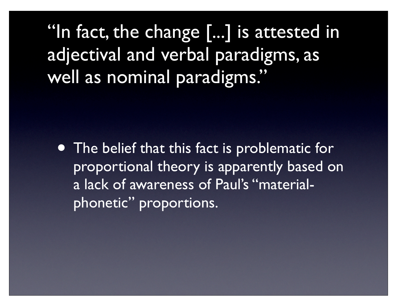"In fact, the change [...] is attested in adjectival and verbal paradigms, as well as nominal paradigms."

• The belief that this fact is problematic for proportional theory is apparently based on a lack of awareness of Paul's "materialphonetic" proportions.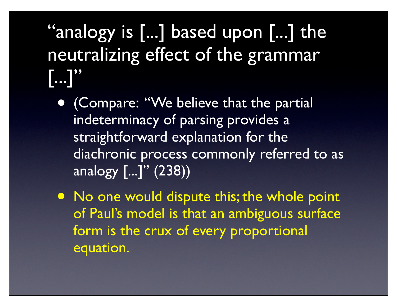#### "analogy is [...] based upon [...] the neutralizing effect of the grammar  $\left[\ldots\right]$ "

- (Compare: "We believe that the partial indeterminacy of parsing provides a straightforward explanation for the diachronic process commonly referred to as analogy [...]" (238))
- No one would dispute this; the whole point of Paul's model is that an ambiguous surface form is the crux of every proportional equation.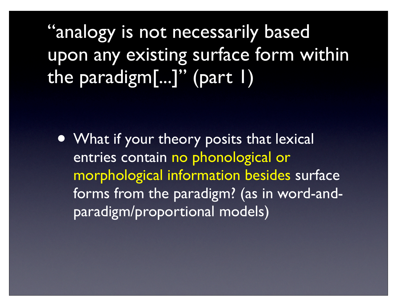"analogy is not necessarily based upon any existing surface form within the paradigm[...]" (part 1)

• What if your theory posits that lexical entries contain no phonological or morphological information besides surface forms from the paradigm? (as in word-andparadigm/proportional models)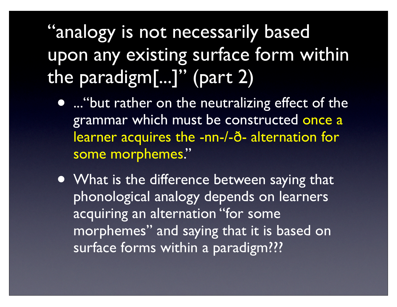"analogy is not necessarily based upon any existing surface form within the paradigm[...]" (part 2)

- ... "but rather on the neutralizing effect of the grammar which must be constructed once a learner acquires the -nn-/-ð- alternation for some morphemes."
- What is the difference between saying that phonological analogy depends on learners acquiring an alternation "for some morphemes" and saying that it is based on surface forms within a paradigm???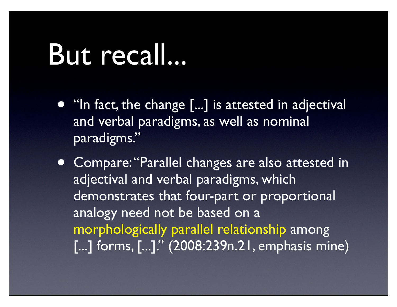#### But recall...

- "In fact, the change [...] is attested in adjectival and verbal paradigms, as well as nominal paradigms."
- Compare: "Parallel changes are also attested in adjectival and verbal paradigms, which demonstrates that four-part or proportional analogy need not be based on a morphologically parallel relationship among [...] forms, [...]." (2008:239n.21, emphasis mine)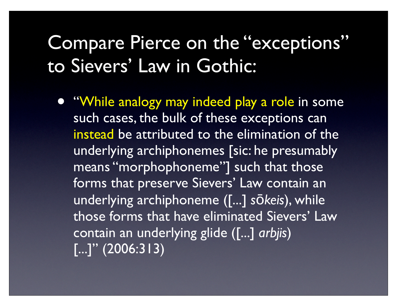#### Compare Pierce on the "exceptions" to Sievers' Law in Gothic:

• "While analogy may indeed play a role in some such cases, the bulk of these exceptions can instead be attributed to the elimination of the underlying archiphonemes [sic: he presumably means "morphophoneme"] such that those forms that preserve Sievers' Law contain an underlying archiphoneme ([...] *s*ō*keis*), while those forms that have eliminated Sievers' Law contain an underlying glide ([...] *arbjis*)  $\left[ \ldots \right]$ " (2006:313)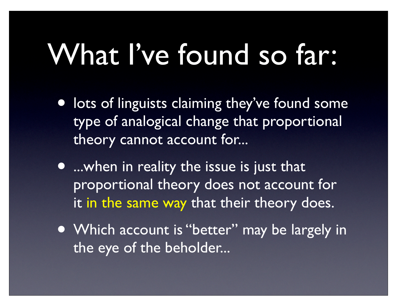#### What I've found so far:

- **•** lots of linguists claiming they've found some type of analogical change that proportional theory cannot account for...
- ...when in reality the issue is just that proportional theory does not account for it in the same way that their theory does.
- Which account is "better" may be largely in the eye of the beholder...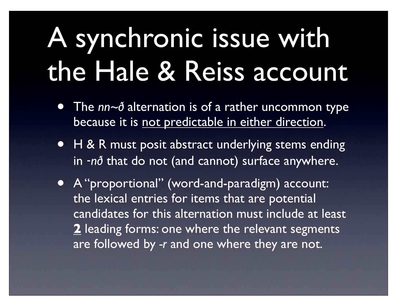#### A synchronic issue with the Hale & Reiss account

- The *nn~ð* alternation is of a rather uncommon type because it is not predictable in either direction.
- H & R must posit abstract underlying stems ending in ‑*nð* that do not (and cannot) surface anywhere.
- A "proportional" (word-and-paradigm) account: the lexical entries for items that are potential candidates for this alternation must include at least **2** leading forms: one where the relevant segments are followed by *-r* and one where they are not.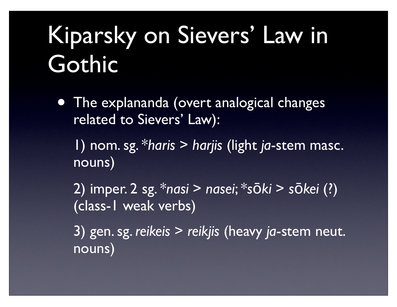#### Kiparsky on Sievers' Law in Gothic

• The explananda (overt analogical changes related to Sievers' Law):

1) nom. sg. \**haris* > *harjis* (light *ja*-stem masc. nouns)

2) imper. 2 sg. \**nasi* > *nasei*; \**s*ō*ki* > *s*ō*kei* (?) (class-1 weak verbs)

3) gen. sg. *reikeis* > *reikjis* (heavy *ja*-stem neut. nouns)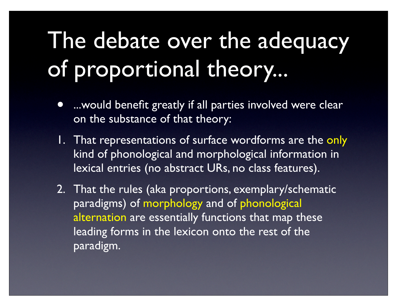#### The debate over the adequacy of proportional theory...

- ... would benefit greatly if all parties involved were clear on the substance of that theory:
- 1. That representations of surface wordforms are the only kind of phonological and morphological information in lexical entries (no abstract URs, no class features).
- 2. That the rules (aka proportions, exemplary/schematic paradigms) of morphology and of phonological alternation are essentially functions that map these leading forms in the lexicon onto the rest of the paradigm.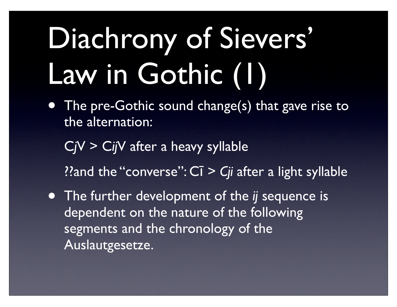## Diachrony of Sievers' Law in Gothic (1)

- The pre-Gothic sound change(s) that gave rise to the alternation:
	- C*j*V > C*ij*V after a heavy syllable
	- ??and the "converse": Cī > *Cji* after a light syllable
- The further development of the *ij* sequence is dependent on the nature of the following segments and the chronology of the Auslautgesetze.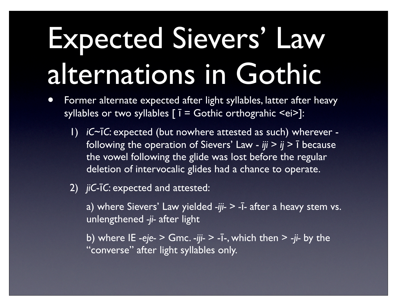## Expected Sievers' Law alternations in Gothic

- Former alternate expected after light syllables, latter after heavy syllables or two syllables  $[$   $\overline{I}$  = Gothic orthograhic <ei>]:
	- 1) *iC*~ī*C*: expected (but nowhere attested as such) wherever following the operation of Sievers' Law - *iji* > *ij* > ī because the vowel following the glide was lost before the regular deletion of intervocalic glides had a chance to operate.
	- 2) *jiC*-ī*C*: expected and attested:

a) where Sievers' Law yielded *-iji-* > *-*ī*-* after a heavy stem vs. unlengthened *-ji-* after light

b) where IE -*eje-* > Gmc. -*iji-* > -ī-, which then > -*ji-* by the "converse" after light syllables only.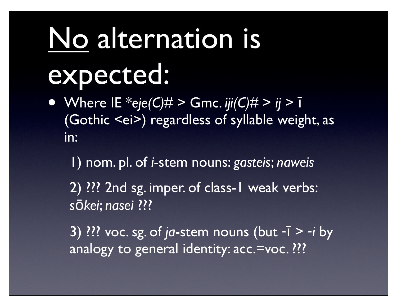## No alternation is expected:

• Where IE  $*$ eje(C) $\#$  > Gmc. *iji(C)* $\#$  > *ij* >  $\bar{I}$ (Gothic <ei>) regardless of syllable weight, as in:

1) nom. pl. of *i*-stem nouns: *gasteis*; *naweis*

2) ??? 2nd sg. imper. of class-1 weak verbs: *s*ō*kei*; *nasei* ???

3) ??? voc. sg. of *ja*-stem nouns (but ‑ī > ‑*i* by analogy to general identity: acc.=voc. ???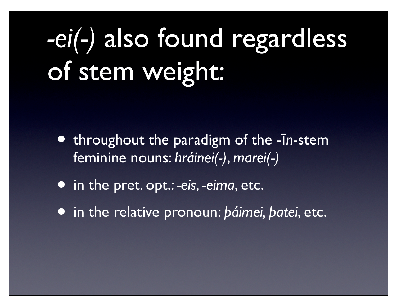#### *-ei(-)* also found regardless of stem weight:

- throughout the paradigm of the -ī*n*-stem feminine nouns: *hráinei(-)*, *marei(-)*
- in the pret. opt.: *-eis*, *-eima*, etc.
- in the relative pronoun: *þáimei, þatei*, etc.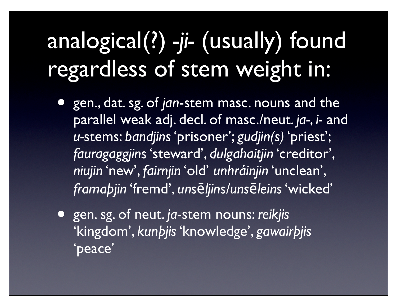#### analogical(?) *-ji-* (usually) found regardless of stem weight in:

- gen., dat. sg. of *jan*-stem masc. nouns and the parallel weak adj. decl. of masc./neut. *ja-*, *i-* and *u-*stems: *bandjins* 'prisoner'; *gudjin(s)* 'priest'; *fauragaggjins* 'steward', *dulgahaitjin* 'creditor', *niujin* 'new', *fairnjin* 'old' *unhráinjin* 'unclean', *framaþjin* 'fremd', *uns*ē*ljins/uns*ē*leins* 'wicked'
- gen. sg. of neut. *ja*-stem nouns: *reikjis* 'kingdom', *kunþjis* 'knowledge', *gawairþjis* 'peace'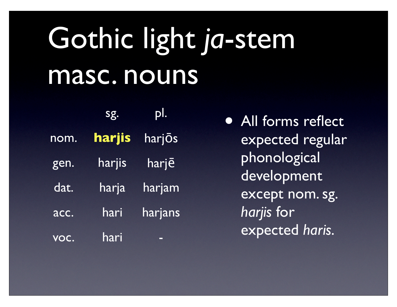### Gothic light *ja*-stem masc. nouns

|      | sg.    | pl      |
|------|--------|---------|
| nom. | harjis | harjōs  |
| gen. | harjis | harje   |
| dat. | harja  | harjam  |
| acc. | hari   | harjans |
|      | hari   |         |

• All forms reflect expected regular phonological development except nom. sg. *harjis* for expected *haris*.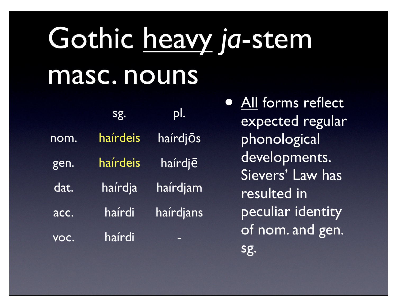## Gothic heavy *ja*-stem masc. nouns

|      | sg.      | pl.       |
|------|----------|-----------|
| nom. | haírdeis | hairdjos  |
| gen. | haírdeis | haírdjē   |
| dat. | haírdja  | haírdjam  |
| acc. | haírdi   | haírdjans |
| VOC. | haírdi   |           |

• All forms reflect expected regular phonological developments. Sievers' Law has resulted in peculiar identity of nom. and gen. sg.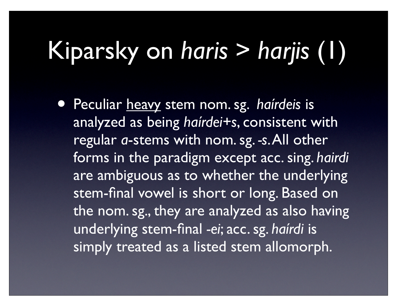#### Kiparsky on *haris* > *harjis* (1)

• Peculiar heavy stem nom. sg. *haírdeis* is analyzed as being *haírdei+s*, consistent with regular *a*-stems with nom. sg. *-s*. All other forms in the paradigm except acc. sing. *hairdi* are ambiguous as to whether the underlying stem-final vowel is short or long. Based on the nom. sg., they are analyzed as also having underlying stem-final *-ei*; acc. sg. *haírdi* is simply treated as a listed stem allomorph.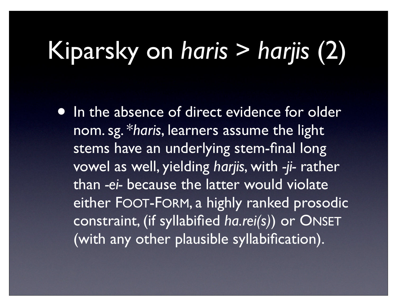#### Kiparsky on *haris* > *harjis* (2)

• In the absence of direct evidence for older nom. sg. \**haris*, learners assume the light stems have an underlying stem-final long vowel as well, yielding *harjis*, with *-ji-* rather than *-ei-* because the latter would violate either FOOT-FORM, a highly ranked prosodic constraint, (if syllabified *ha.rei(s)*) or ONSET (with any other plausible syllabification).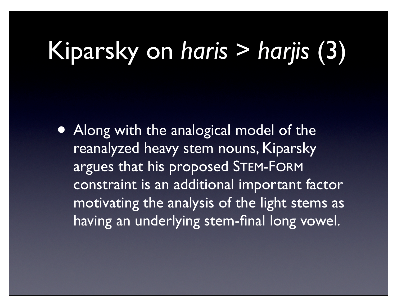#### Kiparsky on *haris* > *harjis* (3)

• Along with the analogical model of the reanalyzed heavy stem nouns, Kiparsky argues that his proposed STEM-FORM constraint is an additional important factor motivating the analysis of the light stems as having an underlying stem-final long vowel.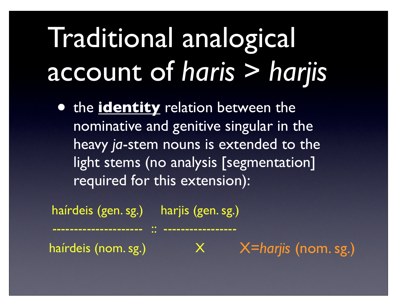#### Traditional analogical account of *haris* > *harjis*

• the **identity** relation between the nominative and genitive singular in the heavy *ja*-stem nouns is extended to the light stems (no analysis [segmentation] required for this extension):

haírdeis (gen. sg.) harjis (gen. sg.) --------------------- :: ---------------- haírdeis (nom. sg.) XX X=harjis (nom. sg.)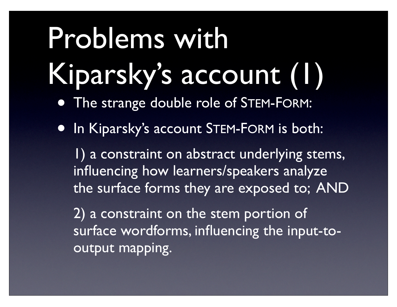# Problems with Kiparsky's account (1)

- The strange double role of STEM-FORM:
- In Kiparsky's account STEM-FORM is both:

1) a constraint on abstract underlying stems, influencing how learners/speakers analyze the surface forms they are exposed to; AND

2) a constraint on the stem portion of surface wordforms, influencing the input-tooutput mapping.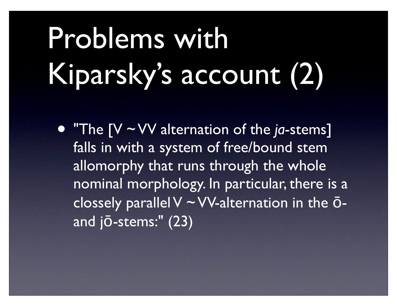# Problems with Kiparsky's account (2)

• "The [V ~ VV alternation of the *ja*-stems] falls in with a system of free/bound stem allomorphy that runs through the whole nominal morphology. In particular, there is a clossely parallel V ~ VV-alternation in the ōand jō-stems:" (23)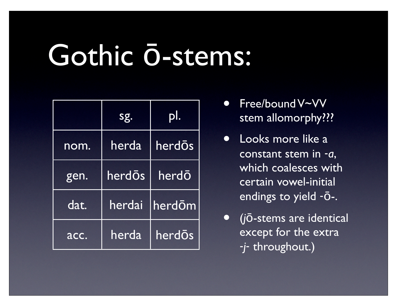#### Gothic ō-stems:

|      | sg.    |        |
|------|--------|--------|
| nom. | herda  | herdōs |
| gen. | herdōs | herdō  |
| dat. | herdai | herdōm |
| acc. | herda  | herdos |

- Free/bound V~VV stem allomorphy???
- Looks more like a constant stem in ‑*a*, which coalesces with certain vowel-initial endings to yield ‑ō-.
- (*j*ō-stems are identical except for the extra ‑*j*‑ throughout.)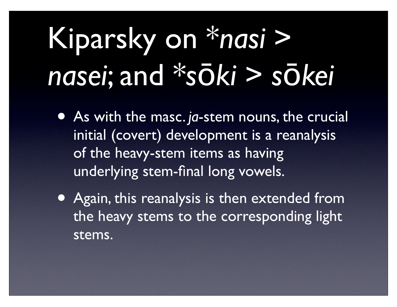## Kiparsky on \**nasi* > *nasei*; and \**s*ō*ki* > *s*ō*kei*

- As with the masc. *ja*-stem nouns, the crucial initial (covert) development is a reanalysis of the heavy-stem items as having underlying stem-final long vowels.
- Again, this reanalysis is then extended from the heavy stems to the corresponding light stems.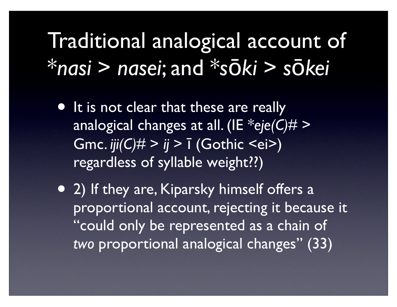#### Traditional analogical account of \**nasi* > *nasei*; and \**s*ō*ki* > *s*ō*kei*

- It is not clear that these are really analogical changes at all. (IE \**eje(C)#* > Gmc. *iji(C)#* > *ij* > ī (Gothic <ei>) regardless of syllable weight??)
- 2) If they are, Kiparsky himself offers a proportional account, rejecting it because it "could only be represented as a chain of *two* proportional analogical changes" (33)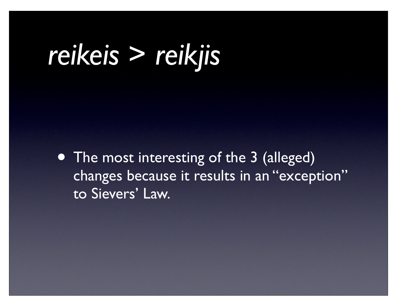#### *reikeis* > *reikjis*

• The most interesting of the 3 (alleged) changes because it results in an "exception" to Sievers' Law.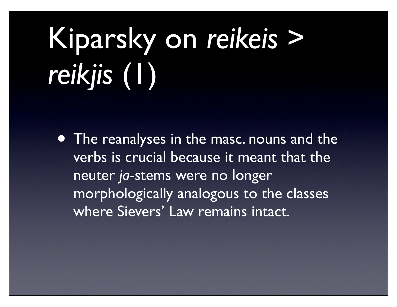# Kiparsky on *reikeis* > *reikjis* (1)

• The reanalyses in the masc. nouns and the verbs is crucial because it meant that the neuter *ja*-stems were no longer morphologically analogous to the classes where Sievers' Law remains intact.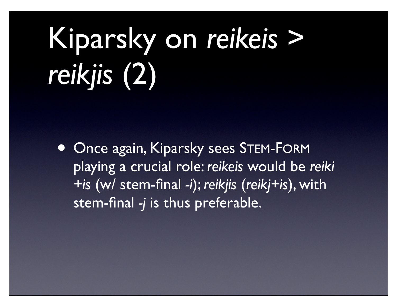# Kiparsky on *reikeis* > *reikjis* (2)

• Once again, Kiparsky sees STEM-FORM playing a crucial role: *reikeis* would be *reiki +is* (w/ stem-final *-i*); *reikjis* (*reikj+is*), with stem-final *-j* is thus preferable.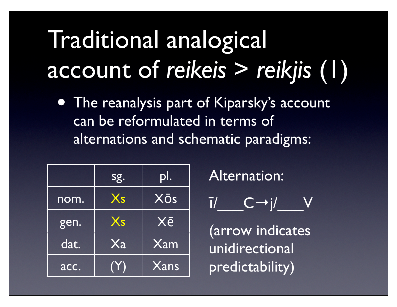#### Traditional analogical account of *reikeis* > *reikjis* (1)

• The reanalysis part of Kiparsky's account can be reformulated in terms of alternations and schematic paradigms:

|      | sg.            | pl.                     |
|------|----------------|-------------------------|
| nom. | $X_{S}$        | Xōs                     |
| gen. | $X_{S}$        | Xē                      |
| dat. | X <sub>a</sub> | $\overline{\text{Xam}}$ |
| acc. | $(\Upsilon)$   | $\overline{X}$ ans      |

Alternation:

$$
\overline{I}/\_\_C\to j/\_\_V
$$

(arrow indicates unidirectional predictability)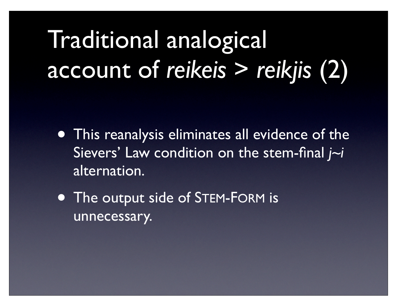#### Traditional analogical account of *reikeis* > *reikjis* (2)

- This reanalysis eliminates all evidence of the Sievers' Law condition on the stem-final *j~i* alternation.
- The output side of STEM-FORM is unnecessary.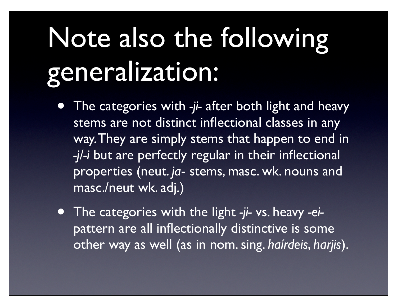## Note also the following generalization:

- The categories with -ji- after both light and heavy stems are not distinct inflectional classes in any way. They are simply stems that happen to end in *-j/-i* but are perfectly regular in their inflectional properties (neut. *ja*- stems, masc. wk. nouns and masc./neut wk. adj.)
- The categories with the light *-ji-* vs. heavy *-ei*pattern are all inflectionally distinctive is some other way as well (as in nom. sing. *haírdeis*, *harjis*).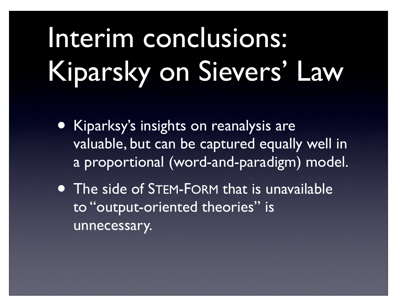## Interim conclusions: Kiparsky on Sievers' Law

- Kiparksy's insights on reanalysis are valuable, but can be captured equally well in a proportional (word-and-paradigm) model.
- The side of STEM-FORM that is unavailable to "output-oriented theories" is unnecessary.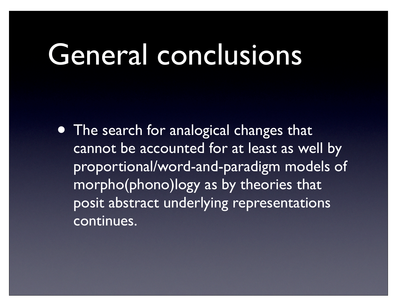#### General conclusions

• The search for analogical changes that cannot be accounted for at least as well by proportional/word-and-paradigm models of morpho(phono)logy as by theories that posit abstract underlying representations continues.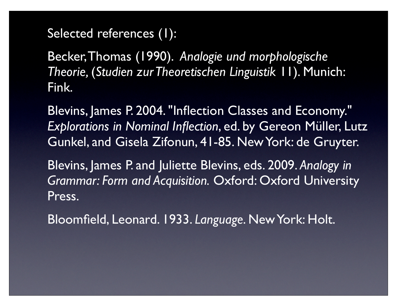#### Selected references (1):

Becker, Thomas (1990). *Analogie und morphologische Theorie,* (*Studien zur Theoretischen Linguistik* 11). Munich: Fink.

Blevins, James P. 2004. "Inflection Classes and Economy." *Explorations in Nominal Inflection*, ed. by Gereon Müller, Lutz Gunkel, and Gisela Zifonun, 41-85. New York: de Gruyter.

Blevins, James P. and Juliette Blevins, eds. 2009. *Analogy in Grammar: Form and Acquisition.* Oxford: Oxford University Press.

Bloomfield, Leonard. 1933. *Language*. New York: Holt.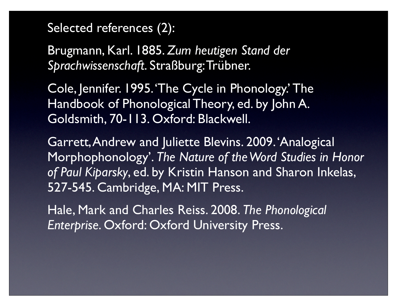#### Selected references (2):

Brugmann, Karl. 1885. *Zum heutigen Stand der Sprachwissenschaft*. Straßburg: Trübner.

Cole, Jennifer. 1995. 'The Cycle in Phonology.' The Handbook of Phonological Theory, ed. by John A. Goldsmith, 70-113. Oxford: Blackwell.

Garrett, Andrew and Juliette Blevins. 2009. 'Analogical Morphophonology'. *The Nature of the Word Studies in Honor of Paul Kiparsky*, ed. by Kristin Hanson and Sharon Inkelas, 527-545. Cambridge, MA: MIT Press.

Hale, Mark and Charles Reiss. 2008. *The Phonological Enterprise*. Oxford: Oxford University Press.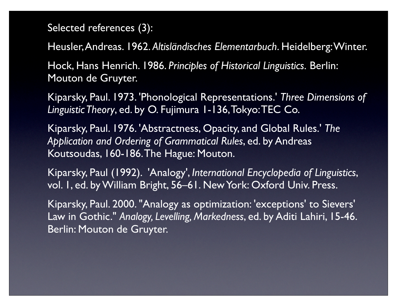#### Selected references (3):

Heusler, Andreas. 1962. *Altisländisches Elementarbuch*. Heidelberg: Winter.

Hock, Hans Henrich. 1986. *Principles of Historical Linguistics.* Berlin: Mouton de Gruyter.

Kiparsky, Paul. 1973. 'Phonological Representations.' *Three Dimensions of Linguistic Theory*, ed. by O. Fujimura 1-136, Tokyo: TEC Co.

Kiparsky, Paul. 1976. 'Abstractness, Opacity, and Global Rules.' *The Application and Ordering of Grammatical Rules*, ed. by Andreas Koutsoudas, 160-186. The Hague: Mouton.

Kiparsky, Paul (1992). 'Analogy', *International Encyclopedia of Linguistics*, vol. 1, ed. by William Bright, 56–61. New York: Oxford Univ. Press.

Kiparsky, Paul. 2000. "Analogy as optimization: 'exceptions' to Sievers' Law in Gothic." *Analogy, Levelling, Markedness*, ed. by Aditi Lahiri, 15-46. Berlin: Mouton de Gruyter.